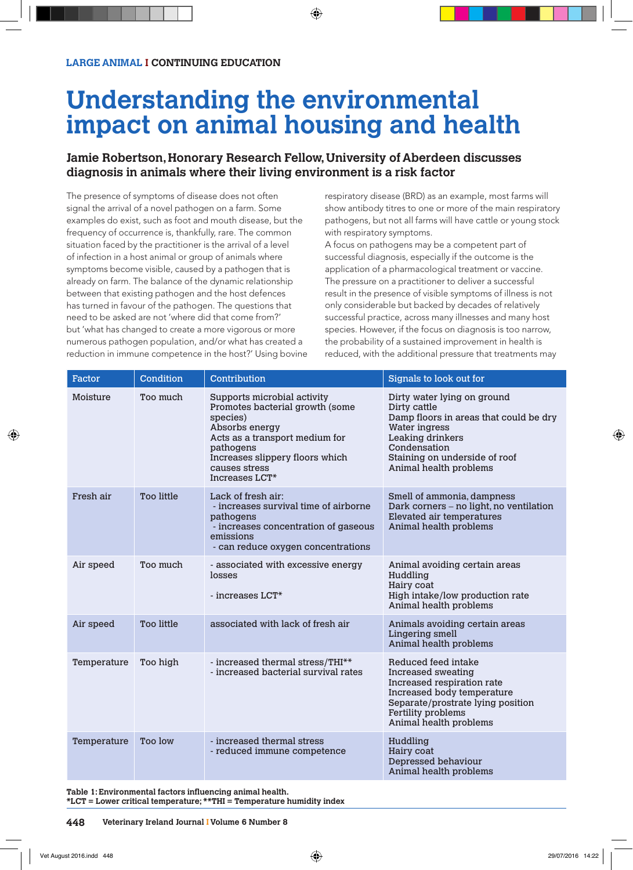# **Understanding the environmental impact on animal housing and health**

## **Jamie Robertson, Honorary Research Fellow, University of Aberdeen discusses diagnosis in animals where their living environment is a risk factor**

The presence of symptoms of disease does not often signal the arrival of a novel pathogen on a farm. Some examples do exist, such as foot and mouth disease, but the frequency of occurrence is, thankfully, rare. The common situation faced by the practitioner is the arrival of a level of infection in a host animal or group of animals where symptoms become visible, caused by a pathogen that is already on farm. The balance of the dynamic relationship between that existing pathogen and the host defences has turned in favour of the pathogen. The questions that need to be asked are not 'where did that come from?' but 'what has changed to create a more vigorous or more numerous pathogen population, and/or what has created a reduction in immune competence in the host?' Using bovine respiratory disease (BRD) as an example, most farms will show antibody titres to one or more of the main respiratory pathogens, but not all farms will have cattle or young stock with respiratory symptoms.

A focus on pathogens may be a competent part of successful diagnosis, especially if the outcome is the application of a pharmacological treatment or vaccine. The pressure on a practitioner to deliver a successful result in the presence of visible symptoms of illness is not only considerable but backed by decades of relatively successful practice, across many illnesses and many host species. However, if the focus on diagnosis is too narrow, the probability of a sustained improvement in health is reduced, with the additional pressure that treatments may

| Factor      | Condition         | Contribution                                                                                                                                                                                                                  | Signals to look out for                                                                                                                                                                               |  |
|-------------|-------------------|-------------------------------------------------------------------------------------------------------------------------------------------------------------------------------------------------------------------------------|-------------------------------------------------------------------------------------------------------------------------------------------------------------------------------------------------------|--|
| Moisture    | Too much          | Supports microbial activity<br>Promotes bacterial growth (some<br>species)<br>Absorbs energy<br>Acts as a transport medium for<br>pathogens<br>Increases slippery floors which<br>causes stress<br>Increases LCT <sup>*</sup> | Dirty water lying on ground<br>Dirty cattle<br>Damp floors in areas that could be dry<br>Water ingress<br>Leaking drinkers<br>Condensation<br>Staining on underside of roof<br>Animal health problems |  |
| Fresh air   | <b>Too little</b> | Lack of fresh air:<br>- increases survival time of airborne<br>pathogens<br>- increases concentration of gaseous<br>emissions<br>- can reduce oxygen concentrations                                                           | Smell of ammonia, dampness<br>Dark corners - no light, no ventilation<br>Elevated air temperatures<br>Animal health problems                                                                          |  |
| Air speed   | Too much          | - associated with excessive energy<br>losses<br>- increases $LCT*$                                                                                                                                                            | Animal avoiding certain areas<br>Huddling<br>Hairy coat<br>High intake/low production rate<br>Animal health problems                                                                                  |  |
| Air speed   | <b>Too little</b> | associated with lack of fresh air                                                                                                                                                                                             | Animals avoiding certain areas<br><b>Lingering smell</b><br>Animal health problems                                                                                                                    |  |
| Temperature | Too high          | - increased thermal stress/THI**<br>- increased bacterial survival rates                                                                                                                                                      | Reduced feed intake<br>Increased sweating<br>Increased respiration rate<br>Increased body temperature<br>Separate/prostrate lying position<br>Fertility problems<br>Animal health problems            |  |
| Temperature | Too low           | - increased thermal stress<br>- reduced immune competence                                                                                                                                                                     | Huddling<br>Hairy coat<br>Depressed behaviour<br>Animal health problems                                                                                                                               |  |

**Table 1: Environmental factors influencing animal health. \*LCT = Lower critical temperature; \*\*THI = Temperature humidity index**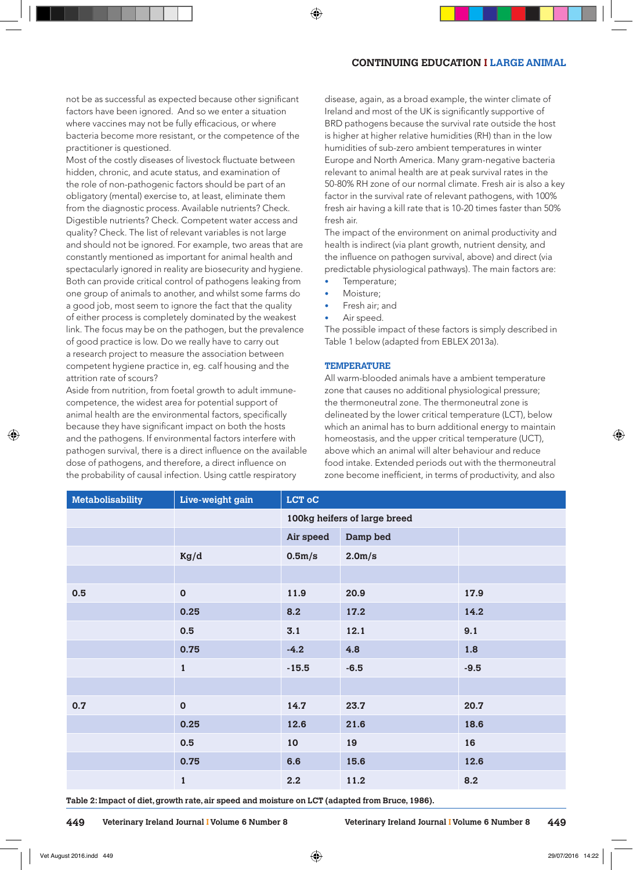## **CONTINUING EDUCATION I LARGE ANIMAL**

not be as successful as expected because other significant factors have been ignored. And so we enter a situation where vaccines may not be fully efficacious, or where bacteria become more resistant, or the competence of the practitioner is questioned.

Most of the costly diseases of livestock fluctuate between hidden, chronic, and acute status, and examination of the role of non-pathogenic factors should be part of an obligatory (mental) exercise to, at least, eliminate them from the diagnostic process. Available nutrients? Check. Digestible nutrients? Check. Competent water access and quality? Check. The list of relevant variables is not large and should not be ignored. For example, two areas that are constantly mentioned as important for animal health and spectacularly ignored in reality are biosecurity and hygiene. Both can provide critical control of pathogens leaking from one group of animals to another, and whilst some farms do a good job, most seem to ignore the fact that the quality of either process is completely dominated by the weakest link. The focus may be on the pathogen, but the prevalence of good practice is low. Do we really have to carry out a research project to measure the association between competent hygiene practice in, eg. calf housing and the attrition rate of scours?

Aside from nutrition, from foetal growth to adult immunecompetence, the widest area for potential support of animal health are the environmental factors, specifically because they have significant impact on both the hosts and the pathogens. If environmental factors interfere with pathogen survival, there is a direct influence on the available dose of pathogens, and therefore, a direct influence on the probability of causal infection. Using cattle respiratory

disease, again, as a broad example, the winter climate of Ireland and most of the UK is significantly supportive of BRD pathogens because the survival rate outside the host is higher at higher relative humidities (RH) than in the low humidities of sub-zero ambient temperatures in winter Europe and North America. Many gram-negative bacteria relevant to animal health are at peak survival rates in the 50-80% RH zone of our normal climate. Fresh air is also a key factor in the survival rate of relevant pathogens, with 100% fresh air having a kill rate that is 10-20 times faster than 50% fresh air.

The impact of the environment on animal productivity and health is indirect (via plant growth, nutrient density, and the influence on pathogen survival, above) and direct (via predictable physiological pathways). The main factors are:

- Temperature;
- Moisture:
- Fresh air; and
- Air speed.

The possible impact of these factors is simply described in Table 1 below (adapted from EBLEX 2013a).

#### **TEMPERATURE**

All warm-blooded animals have a ambient temperature zone that causes no additional physiological pressure; the thermoneutral zone. The thermoneutral zone is delineated by the lower critical temperature (LCT), below which an animal has to burn additional energy to maintain homeostasis, and the upper critical temperature (UCT), above which an animal will alter behaviour and reduce food intake. Extended periods out with the thermoneutral zone become inefficient, in terms of productivity, and also

| <b>Metabolisability</b> | Live-weight gain | <b>LCT oC</b>                |                     |        |
|-------------------------|------------------|------------------------------|---------------------|--------|
|                         |                  | 100kg heifers of large breed |                     |        |
|                         |                  | Air speed                    | Damp bed            |        |
|                         | Kg/d             | 0.5 <sub>m</sub> /s          | 2.0 <sub>m</sub> /s |        |
|                         |                  |                              |                     |        |
| 0.5                     | $\mathbf 0$      | 11.9                         | 20.9                | 17.9   |
|                         | 0.25             | 8.2                          | 17.2                | 14.2   |
|                         | 0.5              | 3.1                          | 12.1                | 9.1    |
|                         | 0.75             | $-4.2$                       | 4.8                 | 1.8    |
|                         | $\mathbf{1}$     | $-15.5$                      | $-6.5$              | $-9.5$ |
|                         |                  |                              |                     |        |
| 0.7                     | $\mathbf 0$      | 14.7                         | 23.7                | 20.7   |
|                         | 0.25             | 12.6                         | 21.6                | 18.6   |
|                         | 0.5              | 10                           | 19                  | 16     |
|                         | 0.75             | 6.6                          | 15.6                | 12.6   |
|                         | $\mathbf{1}$     | 2.2                          | 11.2                | 8.2    |

**Table 2: Impact of diet, growth rate, air speed and moisture on LCT (adapted from Bruce, 1986).**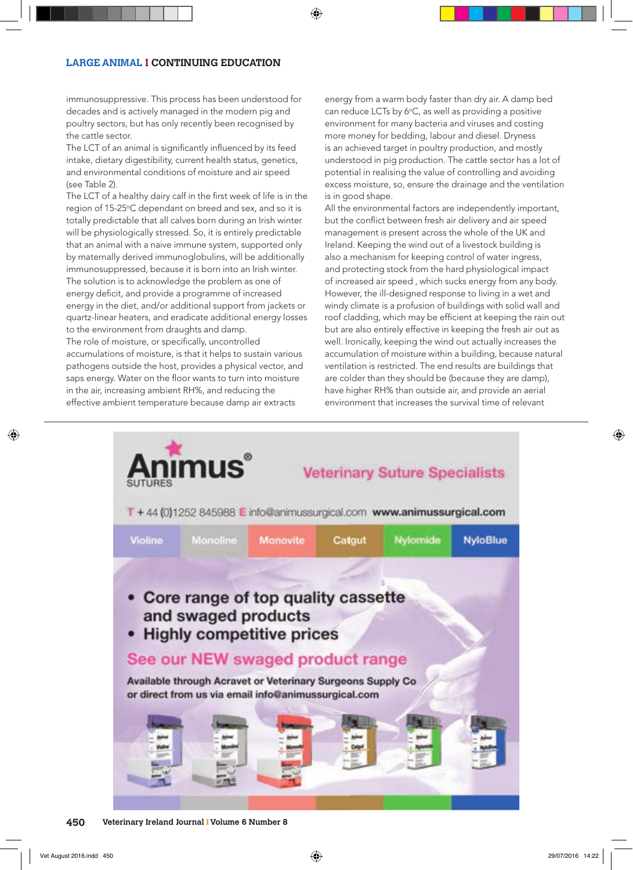## **LARGE ANIMAL I CONTINUING EDUCATION**

immunosuppressive. This process has been understood for decades and is actively managed in the modern pig and poultry sectors, but has only recently been recognised by the cattle sector.

The LCT of an animal is significantly influenced by its feed intake, dietary digestibility, current health status, genetics, and environmental conditions of moisture and air speed (see Table 2).

The LCT of a healthy dairy calf in the first week of life is in the region of 15-25°C dependant on breed and sex, and so it is totally predictable that all calves born during an Irish winter will be physiologically stressed. So, it is entirely predictable that an animal with a naive immune system, supported only by maternally derived immunoglobulins, will be additionally immunosuppressed, because it is born into an Irish winter. The solution is to acknowledge the problem as one of energy deficit, and provide a programme of increased energy in the diet, and/or additional support from jackets or quartz-linear heaters, and eradicate additional energy losses to the environment from draughts and damp. The role of moisture, or specifically, uncontrolled

accumulations of moisture, is that it helps to sustain various pathogens outside the host, provides a physical vector, and saps energy. Water on the floor wants to turn into moisture in the air, increasing ambient RH%, and reducing the effective ambient temperature because damp air extracts

energy from a warm body faster than dry air. A damp bed can reduce LCTs by  $6^{\circ}$ C, as well as providing a positive environment for many bacteria and viruses and costing more money for bedding, labour and diesel. Dryness is an achieved target in poultry production, and mostly understood in pig production. The cattle sector has a lot of potential in realising the value of controlling and avoiding excess moisture, so, ensure the drainage and the ventilation is in good shape.

All the environmental factors are independently important, but the conflict between fresh air delivery and air speed management is present across the whole of the UK and Ireland. Keeping the wind out of a livestock building is also a mechanism for keeping control of water ingress, and protecting stock from the hard physiological impact of increased air speed , which sucks energy from any body. However, the ill-designed response to living in a wet and windy climate is a profusion of buildings with solid wall and roof cladding, which may be efficient at keeping the rain out but are also entirely effective in keeping the fresh air out as well. Ironically, keeping the wind out actually increases the accumulation of moisture within a building, because natural ventilation is restricted. The end results are buildings that are colder than they should be (because they are damp), have higher RH% than outside air, and provide an aerial environment that increases the survival time of relevant

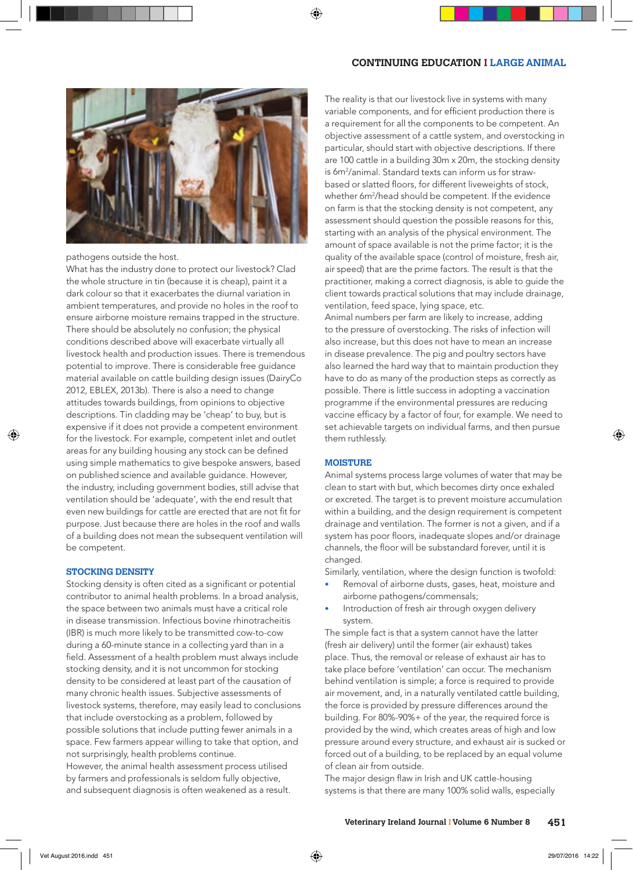## **CONTINUING EDUCATION I LARGE ANIMAL**



pathogens outside the host.

What has the industry done to protect our livestock? Clad the whole structure in tin (because it is cheap), paint it a dark colour so that it exacerbates the diurnal variation in ambient temperatures, and provide no holes in the roof to ensure airborne moisture remains trapped in the structure. There should be absolutely no confusion; the physical conditions described above will exacerbate virtually all livestock health and production issues. There is tremendous potential to improve. There is considerable free guidance material available on cattle building design issues (DairyCo 2012, EBLEX, 2013b). There is also a need to change attitudes towards buildings, from opinions to objective descriptions. Tin cladding may be 'cheap' to buy, but is expensive if it does not provide a competent environment for the livestock. For example, competent inlet and outlet areas for any building housing any stock can be defined using simple mathematics to give bespoke answers, based on published science and available guidance. However, the industry, including government bodies, still advise that ventilation should be 'adequate', with the end result that even new buildings for cattle are erected that are not fit for purpose. Just because there are holes in the roof and walls of a building does not mean the subsequent ventilation will be competent.

#### **STOCKING DENSITY**

Stocking density is often cited as a significant or potential contributor to animal health problems. In a broad analysis, the space between two animals must have a critical role in disease transmission. Infectious bovine rhinotracheitis (IBR) is much more likely to be transmitted cow-to-cow during a 60-minute stance in a collecting yard than in a field. Assessment of a health problem must always include stocking density, and it is not uncommon for stocking density to be considered at least part of the causation of many chronic health issues. Subjective assessments of livestock systems, therefore, may easily lead to conclusions that include overstocking as a problem, followed by possible solutions that include putting fewer animals in a space. Few farmers appear willing to take that option, and not surprisingly, health problems continue. However, the animal health assessment process utilised

by farmers and professionals is seldom fully objective, and subsequent diagnosis is often weakened as a result. The reality is that our livestock live in systems with many variable components, and for efficient production there is a requirement for all the components to be competent. An objective assessment of a cattle system, and overstocking in particular, should start with objective descriptions. If there are 100 cattle in a building 30m x 20m, the stocking density is 6m2 /animal. Standard texts can inform us for strawbased or slatted floors, for different liveweights of stock, whether 6m2 /head should be competent. If the evidence on farm is that the stocking density is not competent, any assessment should question the possible reasons for this, starting with an analysis of the physical environment. The amount of space available is not the prime factor; it is the quality of the available space (control of moisture, fresh air, air speed) that are the prime factors. The result is that the practitioner, making a correct diagnosis, is able to guide the client towards practical solutions that may include drainage, ventilation, feed space, lying space, etc.

Animal numbers per farm are likely to increase, adding to the pressure of overstocking. The risks of infection will also increase, but this does not have to mean an increase in disease prevalence. The pig and poultry sectors have also learned the hard way that to maintain production they have to do as many of the production steps as correctly as possible. There is little success in adopting a vaccination programme if the environmental pressures are reducing vaccine efficacy by a factor of four, for example. We need to set achievable targets on individual farms, and then pursue them ruthlessly.

#### **MOISTURE**

Animal systems process large volumes of water that may be clean to start with but, which becomes dirty once exhaled or excreted. The target is to prevent moisture accumulation within a building, and the design requirement is competent drainage and ventilation. The former is not a given, and if a system has poor floors, inadequate slopes and/or drainage channels, the floor will be substandard forever, until it is changed.

Similarly, ventilation, where the design function is twofold:

- Removal of airborne dusts, gases, heat, moisture and airborne pathogens/commensals;
- Introduction of fresh air through oxygen delivery system.

The simple fact is that a system cannot have the latter (fresh air delivery) until the former (air exhaust) takes place. Thus, the removal or release of exhaust air has to take place before 'ventilation' can occur. The mechanism behind ventilation is simple; a force is required to provide air movement, and, in a naturally ventilated cattle building, the force is provided by pressure differences around the building. For 80%-90%+ of the year, the required force is provided by the wind, which creates areas of high and low pressure around every structure, and exhaust air is sucked or forced out of a building, to be replaced by an equal volume of clean air from outside.

The major design flaw in Irish and UK cattle-housing systems is that there are many 100% solid walls, especially